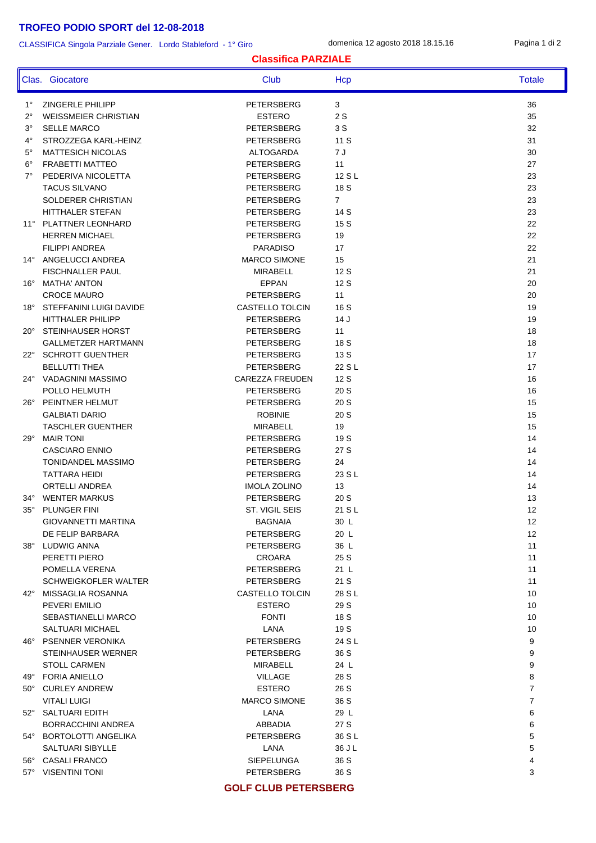# **TROFEO PODIO SPORT del 12-08-2018**

#### CLASSIFICA Singola Parziale Gener. Lordo Stableford - 1° Giro

domenica 12 agosto 2018 18.15.16 Pagina 1 di 2

#### **Classifica PARZIALE**

|              | Clas. Giocatore                               | Club                                 | Hcp            | <b>Totale</b>     |
|--------------|-----------------------------------------------|--------------------------------------|----------------|-------------------|
| $1^{\circ}$  | <b>ZINGERLE PHILIPP</b>                       | PETERSBERG                           | 3              | 36                |
| $2^{\circ}$  | <b>WEISSMEIER CHRISTIAN</b>                   | <b>ESTERO</b>                        | 2S             | 35                |
| 3°           | <b>SELLE MARCO</b>                            | PETERSBERG                           | 3 S            | 32                |
| $4^{\circ}$  | STROZZEGA KARL-HEINZ                          | <b>PETERSBERG</b>                    | 11 S           | 31                |
| $5^{\circ}$  | <b>MATTESICH NICOLAS</b>                      | <b>ALTOGARDA</b>                     | 7 J            | 30                |
| $6^{\circ}$  | <b>FRABETTI MATTEO</b>                        | PETERSBERG                           | 11             | 27                |
| $7^{\circ}$  | PEDERIVA NICOLETTA                            | <b>PETERSBERG</b>                    | 12 S L         | 23                |
|              | <b>TACUS SILVANO</b>                          | PETERSBERG                           | 18 S           | 23                |
|              | SOLDERER CHRISTIAN                            | PETERSBERG                           | $\overline{7}$ | 23                |
|              | <b>HITTHALER STEFAN</b>                       | <b>PETERSBERG</b>                    | 14 S           | 23                |
|              | 11° PLATTNER LEONHARD                         | PETERSBERG                           | 15 S           | 22                |
|              | <b>HERREN MICHAEL</b>                         | PETERSBERG                           | 19             | 22                |
|              | <b>FILIPPI ANDREA</b>                         | <b>PARADISO</b>                      | 17             | 22                |
| $14^{\circ}$ | ANGELUCCI ANDREA                              | <b>MARCO SIMONE</b>                  | 15             | 21                |
|              | <b>FISCHNALLER PAUL</b>                       | <b>MIRABELL</b>                      | 12S            | 21                |
| $16^{\circ}$ | <b>MATHA' ANTON</b>                           | <b>EPPAN</b>                         | 12S            | 20                |
|              | <b>CROCE MAURO</b>                            | PETERSBERG                           | 11             | 20                |
| $18^\circ$   | STEFFANINI LUIGI DAVIDE                       | CASTELLO TOLCIN                      | 16 S           | 19                |
|              | <b>HITTHALER PHILIPP</b>                      | PETERSBERG                           | 14J            | 19                |
| $20^{\circ}$ | <b>STEINHAUSER HORST</b>                      | PETERSBERG                           | 11             | 18                |
|              | GALLMETZER HARTMANN                           | PETERSBERG                           | 18 S           | 18                |
| $22^{\circ}$ | <b>SCHROTT GUENTHER</b>                       | PETERSBERG                           | 13 S           | 17                |
|              | <b>BELLUTTI THEA</b><br>24° VADAGNINI MASSIMO | PETERSBERG<br><b>CAREZZA FREUDEN</b> | 22 S L<br>12 S | 17<br>16          |
|              | POLLO HELMUTH                                 | PETERSBERG                           | 20 S           | 16                |
| $26^{\circ}$ | PEINTNER HELMUT                               | PETERSBERG                           | 20 S           | 15                |
|              | <b>GALBIATI DARIO</b>                         | <b>ROBINIE</b>                       | 20 S           | 15                |
|              | <b>TASCHLER GUENTHER</b>                      | <b>MIRABELL</b>                      | 19             | 15                |
| 29°          | <b>MAIR TONI</b>                              | PETERSBERG                           | 19 S           | 14                |
|              | <b>CASCIARO ENNIO</b>                         | PETERSBERG                           | 27 S           | 14                |
|              | <b>TONIDANDEL MASSIMO</b>                     | <b>PETERSBERG</b>                    | 24             | 14                |
|              | <b>TATTARA HEIDI</b>                          | PETERSBERG                           | 23 S L         | 14                |
|              | ORTELLI ANDREA                                | <b>IMOLA ZOLINO</b>                  | 13             | 14                |
| $34^\circ$   | <b>WENTER MARKUS</b>                          | PETERSBERG                           | 20 S           | 13                |
| $35^{\circ}$ | PLUNGER FINI                                  | <b>ST. VIGIL SEIS</b>                | 21 S L         | 12                |
|              | GIOVANNETTI MARTINA                           | BAGNAIA                              | 30 L           | $12 \overline{ }$ |
|              | DE FELIP BARBARA                              | PETERSBERG                           | 20 L           | 12                |
|              | 38° LUDWIG ANNA                               | PETERSBERG                           | 36 L           | 11                |
|              | PERETTI PIERO                                 | <b>CROARA</b>                        | 25 S           | 11                |
|              | POMELLA VERENA                                | PETERSBERG                           | 21 L           | 11                |
|              | SCHWEIGKOFLER WALTER                          | PETERSBERG                           | 21 S           | 11                |
|              | 42° MISSAGLIA ROSANNA                         | CASTELLO TOLCIN                      | 28 S L         | 10                |
|              | PEVERI EMILIO                                 | <b>ESTERO</b>                        | 29 S           | 10                |
|              | SEBASTIANELLI MARCO                           | <b>FONTI</b>                         | 18 S           | 10                |
|              | <b>SALTUARI MICHAEL</b>                       | LANA                                 | 19 S           | 10                |
|              | 46° PSENNER VERONIKA                          | PETERSBERG                           | 24 S L         | 9                 |
|              | STEINHAUSER WERNER                            | PETERSBERG                           | 36 S           | 9                 |
|              | <b>STOLL CARMEN</b>                           | MIRABELL                             | 24 L           | 9                 |
|              | 49° FORIA ANIELLO                             | <b>VILLAGE</b>                       | 28 S           | 8                 |
|              | 50° CURLEY ANDREW                             | <b>ESTERO</b>                        | 26 S           | 7                 |
|              | <b>VITALI LUIGI</b>                           | <b>MARCO SIMONE</b>                  | 36 S           | 7                 |
|              | 52° SALTUARI EDITH                            | LANA                                 | 29 L           | 6                 |
|              | BORRACCHINI ANDREA                            | ABBADIA                              | 27 S           | 6                 |
|              | 54° BORTOLOTTI ANGELIKA                       | PETERSBERG                           | 36 S L         | 5                 |
|              | SALTUARI SIBYLLE                              | LANA                                 | 36 J L         | 5                 |
|              | 56° CASALI FRANCO                             | SIEPELUNGA                           | 36 S           | 4                 |
|              | 57° VISENTINI TONI                            | PETERSBERG                           | 36 S           | 3                 |

#### **GOLF CLUB PETERSBERG**